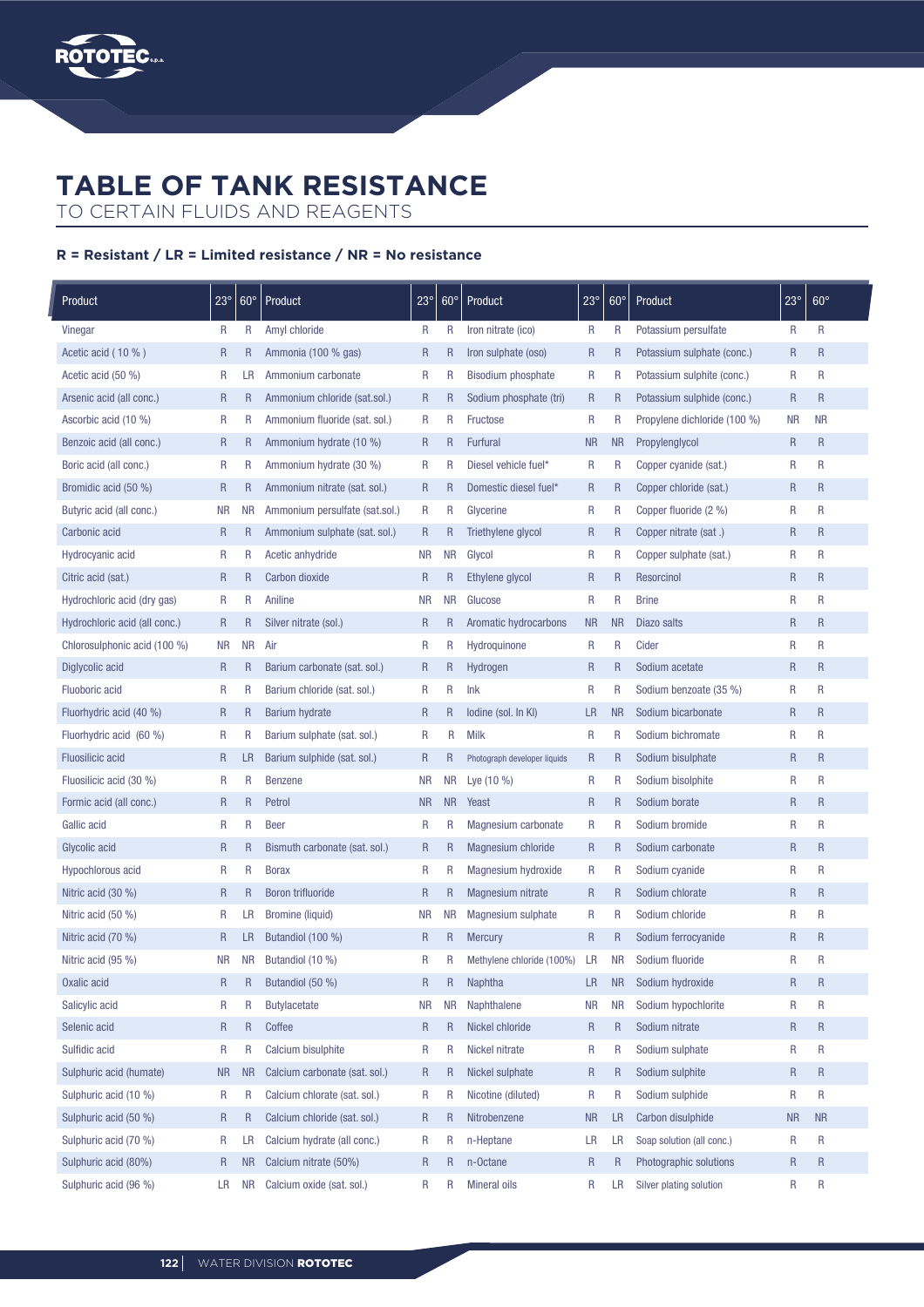

## **TABLE OF TANK RESISTANCE**

TO CERTAIN FLUIDS AND REAGENTS

## R = Resistant / LR = Limited resistance / NR = No resistance

| Product                       | $23^\circ$   | $60^\circ$   | Product                        | $23^\circ$   | $60^\circ$   | Product                      | $23^\circ$   | $60^{\circ}$   | Product                      | $23^\circ$   | $60^\circ$   |
|-------------------------------|--------------|--------------|--------------------------------|--------------|--------------|------------------------------|--------------|----------------|------------------------------|--------------|--------------|
| Vinegar                       | R            | R            | Amyl chloride                  | R            | R            | Iron nitrate (ico)           | R            | R              | Potassium persulfate         | R            | R            |
| Acetic acid (10 %)            | $\mathsf{R}$ | $\mathsf{R}$ | Ammonia (100 % gas)            | $\mathsf R$  | R            | Iron sulphate (oso)          | $\mathsf{R}$ | $\overline{R}$ | Potassium sulphate (conc.)   | $\mathsf R$  | $\mathsf{R}$ |
| Acetic acid (50 %)            | R            | LR           | Ammonium carbonate             | R            | R            | <b>Bisodium phosphate</b>    | R            | R              | Potassium sulphite (conc.)   | R            | R            |
| Arsenic acid (all conc.)      | $\mathsf R$  | $\mathsf R$  | Ammonium chloride (sat.sol.)   | $\mathsf R$  | $\mathsf R$  | Sodium phosphate (tri)       | $\mathsf{R}$ | $\mathsf{R}$   | Potassium sulphide (conc.)   | $\mathsf{R}$ | $\mathsf{R}$ |
| Ascorbic acid (10 %)          | R            | R            | Ammonium fluoride (sat. sol.)  | R            | R            | Fructose                     | R            | R              | Propylene dichloride (100 %) | <b>NR</b>    | <b>NR</b>    |
| Benzoic acid (all conc.)      | $\mathsf R$  | $\mathsf R$  | Ammonium hydrate (10 %)        | $\mathsf R$  | R            | Furfural                     | <b>NR</b>    | <b>NR</b>      | Propylenglycol               | $\mathsf{R}$ | $\mathsf{R}$ |
| Boric acid (all conc.)        | R            | R            | Ammonium hydrate (30 %)        | R            | R            | Diesel vehicle fuel*         | R            | R              | Copper cyanide (sat.)        | $\mathsf{R}$ | R            |
| Bromidic acid (50 %)          | $\mathsf{R}$ | $\mathsf{R}$ | Ammonium nitrate (sat. sol.)   | $\mathsf R$  | R            | Domestic diesel fuel*        | $\mathsf{R}$ | $\mathsf{R}$   | Copper chloride (sat.)       | $\mathsf R$  | $\mathsf R$  |
| Butyric acid (all conc.)      | <b>NR</b>    | <b>NR</b>    | Ammonium persulfate (sat.sol.) | R            | R            | Glycerine                    | R            | R              | Copper fluoride (2 %)        | R            | $\mathsf{R}$ |
| Carbonic acid                 | $\mathsf R$  | R            | Ammonium sulphate (sat. sol.)  | $\mathsf R$  | $\mathsf R$  | Triethylene glycol           | $\mathsf R$  | $\mathsf R$    | Copper nitrate (sat.)        | $\mathsf R$  | $\mathsf R$  |
| Hydrocyanic acid              | R            | R            | Acetic anhydride               | <b>NR</b>    | <b>NR</b>    | Glycol                       | R            | R              | Copper sulphate (sat.)       | R            | R            |
| Citric acid (sat.)            | $\mathsf{R}$ | R            | Carbon dioxide                 | $\mathsf R$  | $\mathsf{R}$ | Ethylene glycol              | $\mathsf{R}$ | R              | Resorcinol                   | $\mathsf{R}$ | $\mathsf R$  |
| Hydrochloric acid (dry gas)   | R            | R            | Aniline                        | <b>NR</b>    | <b>NR</b>    | Glucose                      | $\mathsf R$  | R              | <b>Brine</b>                 | R            | R            |
| Hydrochloric acid (all conc.) | $\mathsf{R}$ | $\mathsf R$  | Silver nitrate (sol.)          | $\mathsf R$  | $\mathsf{R}$ | Aromatic hydrocarbons        | <b>NR</b>    | <b>NR</b>      | Diazo salts                  | $\mathsf{R}$ | $\mathsf{R}$ |
| Chlorosulphonic acid (100 %)  | <b>NR</b>    | NR.          | Air                            | R            | R            | Hydroquinone                 | R            | R              | Cider                        | $\mathsf{R}$ | R            |
| Diglycolic acid               | $\mathsf R$  | R            | Barium carbonate (sat. sol.)   | $\mathsf R$  | $\mathsf{R}$ | Hydrogen                     | $\mathsf R$  | $\mathsf R$    | Sodium acetate               | $\mathsf{R}$ | $\mathsf R$  |
| Fluoboric acid                | R            | R            | Barium chloride (sat. sol.)    | R            | R            | Ink                          | R            | R              | Sodium benzoate (35 %)       | R            | R            |
| Fluorhydric acid (40 %)       | $\mathsf{R}$ | $\mathsf R$  | <b>Barium hydrate</b>          | $\mathsf{R}$ | $\mathsf R$  | lodine (sol. In KI)          | LR           | <b>NR</b>      | Sodium bicarbonate           | $\mathsf{R}$ | $\mathsf{R}$ |
| Fluorhydric acid (60 %)       | R            | R            | Barium sulphate (sat. sol.)    | R            | R            | <b>Milk</b>                  | R            | R              | Sodium bichromate            | R            | R            |
| <b>Fluosilicic acid</b>       | $\mathsf{R}$ | LR           | Barium sulphide (sat. sol.)    | $\mathsf R$  | $\mathsf{R}$ | Photograph developer liquids | $\mathsf R$  | $\mathsf R$    | Sodium bisulphate            | R            | $\mathsf{R}$ |
| Fluosilicic acid (30 %)       | R            | R            | <b>Benzene</b>                 | <b>NR</b>    | <b>NR</b>    | Lye (10 %)                   | R            | R              | Sodium bisolphite            | R            | R            |
| Formic acid (all conc.)       | $\mathsf R$  | R            | Petrol                         | <b>NR</b>    | <b>NR</b>    | Yeast                        | $\mathsf R$  | R              | Sodium borate                | $\mathsf R$  | $\mathsf R$  |
| Gallic acid                   | R            | $\mathsf{R}$ | <b>Beer</b>                    | R            | R            | Magnesium carbonate          | R            | R              | Sodium bromide               | R            | R            |
| Glycolic acid                 | $\mathsf{R}$ | R            | Bismuth carbonate (sat. sol.)  | $\mathsf R$  | R            | Magnesium chloride           | $\mathsf{R}$ | R              | Sodium carbonate             | $\mathsf R$  | $\mathsf{R}$ |
| Hypochlorous acid             | R            | R            | <b>Borax</b>                   | R            | R            | Magnesium hydroxide          | R            | R              | Sodium cyanide               | R            | R            |
| Nitric acid (30 %)            | $\mathsf{R}$ | $\mathsf R$  | Boron trifluoride              | $\mathsf{R}$ | R            | Magnesium nitrate            | $\mathsf{R}$ | $\overline{R}$ | Sodium chlorate              | $\mathsf R$  | $\mathsf R$  |
| Nitric acid (50 %)            | R            | LR           | Bromine (liquid)               | <b>NR</b>    | <b>NR</b>    | Magnesium sulphate           | R            | $\mathsf{R}$   | Sodium chloride              | R            | R            |
| Nitric acid (70 %)            | $\mathsf R$  | LR           | Butandiol (100 %)              | $\mathsf R$  | $\mathsf R$  | <b>Mercury</b>               | $\mathsf{R}$ | $\mathsf R$    | Sodium ferrocyanide          | $\mathsf R$  | $\mathsf{R}$ |
| Nitric acid (95 %)            | <b>NR</b>    | <b>NR</b>    | Butandiol (10 %)               | R            | R            | Methylene chloride (100%)    | LR           | <b>NR</b>      | Sodium fluoride              | R            | R            |
| Oxalic acid                   | $\mathsf R$  | $\mathsf{R}$ | Butandiol (50 %)               | R            | $\mathsf R$  | Naphtha                      | LR.          | <b>NR</b>      | Sodium hydroxide             | R            | R            |
| Salicylic acid                | R            | R            | <b>Butylacetate</b>            | NR.          | <b>NR</b>    | Naphthalene                  | <b>NR</b>    | <b>NR</b>      | Sodium hypochlorite          | R            | ${\sf R}$    |
| Selenic acid                  | $\mathsf R$  | $\mathsf{R}$ | Coffee                         | R            | R            | Nickel chloride              | $\mathsf R$  | $\mathsf{R}$   | Sodium nitrate               | R            | $\mathsf R$  |
| Sulfidic acid                 | R            | R            | Calcium bisulphite             | R            | R            | Nickel nitrate               | R            | R              | Sodium sulphate              | R            | R            |
| Sulphuric acid (humate)       | <b>NR</b>    | <b>NR</b>    | Calcium carbonate (sat. sol.)  | $\mathsf R$  | $\mathsf{R}$ | Nickel sulphate              | $\mathsf{R}$ | $\mathsf R$    | Sodium sulphite              | R            | R            |
| Sulphuric acid (10 %)         | R            | R            | Calcium chlorate (sat. sol.)   | R            | R            | Nicotine (diluted)           | R            | R              | Sodium sulphide              | R            | R            |
| Sulphuric acid (50 %)         | $\mathsf R$  | $\mathsf R$  | Calcium chloride (sat. sol.)   | $\mathsf{R}$ | R            | Nitrobenzene                 | <b>NR</b>    | LR             | Carbon disulphide            | <b>NR</b>    | <b>NR</b>    |
| Sulphuric acid (70 %)         | R            | LR           | Calcium hydrate (all conc.)    | R            | R            | n-Heptane                    | LR           | LR             | Soap solution (all conc.)    | R            | R            |
| Sulphuric acid (80%)          | $\mathsf{R}$ | <b>NR</b>    | Calcium nitrate (50%)          | $\mathsf R$  | R            | n-Octane                     | $\mathsf{R}$ | $\mathsf{R}$   | Photographic solutions       | R            | $\mathsf R$  |
| Sulphuric acid (96 %)         | LR           | <b>NR</b>    | Calcium oxide (sat. sol.)      | R            | R            | <b>Mineral oils</b>          | R            | LR.            | Silver plating solution      | R            | R            |